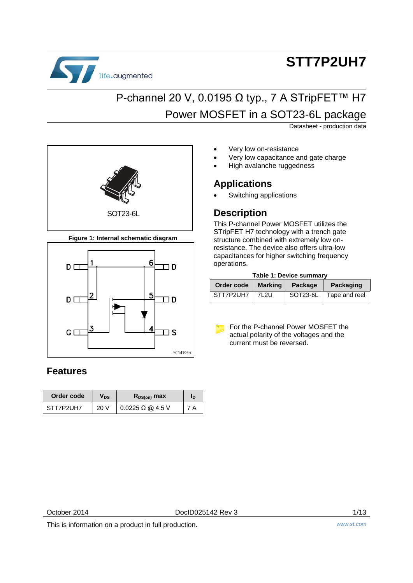

# **STT7P2UH7**

## P-channel 20 V, 0.0195 Ω typ., 7 A STripFET™ H7 Power MOSFET in a SOT23-6L package

Datasheet - production data

- Very low on-resistance
	- Very low capacitance and gate charge
	- High avalanche ruggedness

### **Applications**

Switching applications

### **Description**

This P-channel Power MOSFET utilizes the STripFET H7 technology with a trench gate structure combined with extremely low onresistance. The device also offers ultra-low capacitances for higher switching frequency operations.

#### **Table 1: Device summary**

| Order code | Marking | Package | Packaging              |
|------------|---------|---------|------------------------|
| STT7P2UH7  | 7L2U    |         | SOT23-6L Tape and reel |

For the P-channel Power MOSFET the actual polarity of the voltages and the current must be reversed.

SOT23-6L

**Figure 1: Internal schematic diagram**



### **Features**

| Order code | Vns  | $R_{DS(on)}$ max             | ID |
|------------|------|------------------------------|----|
| STT7P2UH7  | 20 V | $0.0225 \Omega \omega$ 4.5 V |    |

October 2014 **DocID025142 Rev 3** 1/13

This is information on a product in full production. *www.st.com*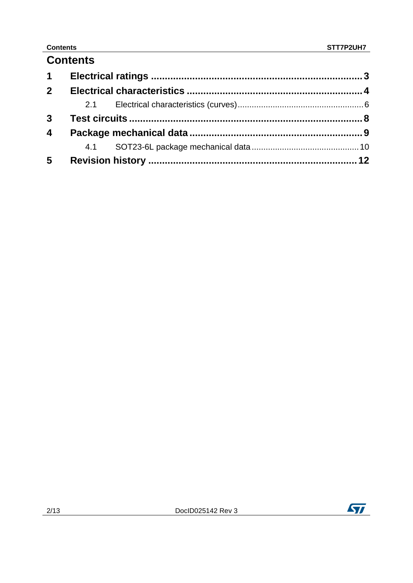### **Contents**

| $1 \quad$               |  |  |
|-------------------------|--|--|
| $2^{\circ}$             |  |  |
|                         |  |  |
| 3 <sup>1</sup>          |  |  |
| $\overline{\mathbf{4}}$ |  |  |
|                         |  |  |
| $5\phantom{.0}$         |  |  |

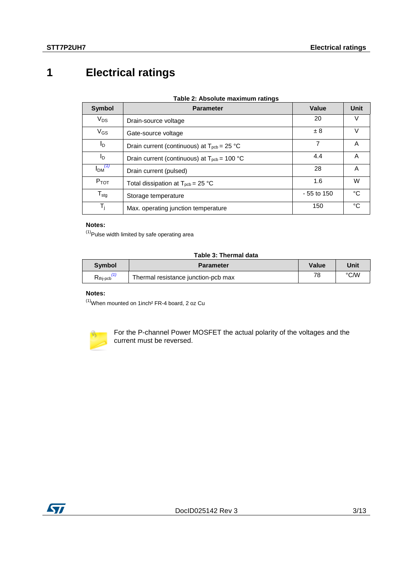### <span id="page-2-0"></span>**1 Electrical ratings**

| <b>Symbol</b>           | <b>Parameter</b>                                                    | Value       | <b>Unit</b> |
|-------------------------|---------------------------------------------------------------------|-------------|-------------|
| $V_{DS}$                | Drain-source voltage                                                | 20          | V           |
| $V_{GS}$                | Gate-source voltage                                                 | ±8          | V           |
| ΙD                      | Drain current (continuous) at $T_{\text{pcb}} = 25 \text{ °C}$      | 7           | Α           |
| ΙD                      | Drain current (continuous) at $T_{\text{pcb}} = 100 \text{ °C}$     | 4.4         | A           |
| $I_{DM}$ <sup>(1)</sup> | Drain current (pulsed)                                              | 28          | A           |
| $P_{TOT}$               | Total dissipation at $T_{\text{pcb}} = 25 \text{ }^{\circ}\text{C}$ | 1.6         | W           |
| $T_{\text{stg}}$        | Storage temperature                                                 | - 55 to 150 | °C          |
| T,                      | Max. operating junction temperature                                 | 150         | °C          |

#### **Notes:**

<span id="page-2-1"></span> $<sup>(1)</sup>$ Pulse width limited by safe operating area</sup>

#### **Table 3: Thermal data**

| Symbol              | <b>Parameter</b>                    | <b>Value</b> | Unit |
|---------------------|-------------------------------------|--------------|------|
| $R_{\text{th-PCb}}$ | Thermal resistance junction-pcb max | 78           | ℃⁄W  |

#### **Notes:**

<span id="page-2-2"></span> $(1)$ When mounted on 1inch<sup>2</sup> FR-4 board, 2 oz Cu



For the P-channel Power MOSFET the actual polarity of the voltages and the current must be reversed.

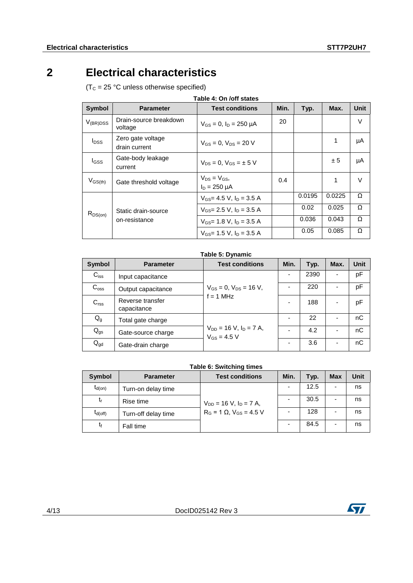### **2 Electrical characteristics**

<span id="page-3-0"></span> $(T<sub>C</sub> = 25 °C$  unless otherwise specified)

<span id="page-3-1"></span>

| <b>Symbol</b>                                        | <b>Parameter</b>                   | <b>Test conditions</b>                 | Min. | Typ.   | Max.   | <b>Unit</b> |
|------------------------------------------------------|------------------------------------|----------------------------------------|------|--------|--------|-------------|
| $V_{(BR)DSS}$                                        | Drain-source breakdown<br>voltage  | $V_{GS} = 0$ , $I_D = 250 \mu A$       | 20   |        |        | V           |
| $I_{DSS}$                                            | Zero gate voltage<br>drain current | $V_{GS} = 0.$ $V_{DS} = 20$ V          |      |        | 1      | μA          |
| l <sub>GSS</sub>                                     | Gate-body leakage<br>current       | $V_{DS} = 0$ , $V_{GS} = \pm 5$ V      |      |        | ± 5    | μA          |
| $V_{GS(th)}$                                         | Gate threshold voltage             | $V_{DS} = V_{GS}$<br>$I_D = 250 \mu A$ | 0.4  |        | 1      | V           |
|                                                      |                                    | $V_{GS}$ = 4.5 V, $I_D$ = 3.5 A        |      | 0.0195 | 0.0225 | Ω           |
| Static drain-source<br>$R_{DS(on)}$<br>on-resistance |                                    | $V_{GS}$ 2.5 V, $I_D$ = 3.5 A          |      | 0.02   | 0.025  | Ω           |
|                                                      |                                    | $V_{GS}$ = 1.8 V, $I_D$ = 3.5 A        |      | 0.036  | 0.043  | Ω           |
|                                                      |                                    | $V_{GS}$ = 1.5 V, $I_D$ = 3.5 A        |      | 0.05   | 0.085  | Ω           |

### **Table 4: On /off states**

#### **Table 5: Dynamic**

<span id="page-3-2"></span>

| Symbol           | <b>Parameter</b>                | <b>Test conditions</b>                            | Min.                     | Typ. | Max. | <b>Unit</b> |
|------------------|---------------------------------|---------------------------------------------------|--------------------------|------|------|-------------|
| $C_{iss}$        | Input capacitance               |                                                   |                          | 2390 |      | pF          |
| $C_{\text{oss}}$ | Output capacitance              | $V_{GS} = 0$ , $V_{DS} = 16$ V,                   |                          | 220  |      | pF          |
| C <sub>rss</sub> | Reverse transfer<br>capacitance | $f = 1$ MHz                                       | $\overline{\phantom{0}}$ | 188  |      | pF          |
| $Q_g$            | Total gate charge               |                                                   |                          | 22   |      | nC          |
| $Q_{gs}$         | Gate-source charge              | $V_{DD}$ = 16 V, $I_D$ = 7 A,<br>$V_{GS} = 4.5 V$ |                          | 4.2  |      | nC          |
| $Q_{gd}$         | Gate-drain charge               |                                                   |                          | 3.6  |      | nC          |

#### **Table 6: Switching times**

<span id="page-3-3"></span>

| Symbol              | <b>Parameter</b>    | <b>Test conditions</b>              | Min. | Typ. | <b>Max</b> | Unit |
|---------------------|---------------------|-------------------------------------|------|------|------------|------|
| $t_{d(on)}$         | Turn-on delay time  |                                     |      | 12.5 |            | ns   |
| t,                  | Rise time           | $V_{DD} = 16$ V, $I_D = 7$ A,       |      | 30.5 |            | ns   |
| $t_{d(\text{off})}$ | Turn-off delay time | $R_G = 1 \Omega$ , $V_{GS} = 4.5 V$ |      | 128  |            | ns   |
| t                   | Fall time           |                                     |      | 84.5 |            | ns   |

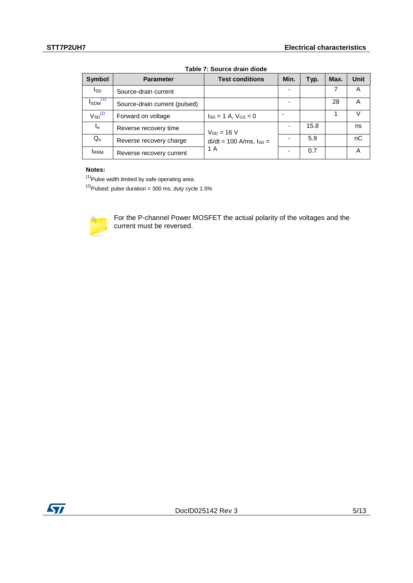<span id="page-4-2"></span>

| <b>Symbol</b>                    | <b>Parameter</b>                                   | <b>Test conditions</b>         | Min. | Typ. | Max. | <b>Unit</b> |
|----------------------------------|----------------------------------------------------|--------------------------------|------|------|------|-------------|
| <b>I</b> SD                      | Source-drain current                               |                                |      |      |      | A           |
| $I_{SDM}$ <sup>(1)</sup>         | Source-drain current (pulsed)                      |                                |      |      | 28   | A           |
| $\mathsf{V}_{\mathsf{SD}}^{(2)}$ | Forward on voltage<br>$I_{SD} = 1$ A, $V_{GS} = 0$ |                                |      |      |      |             |
| $t_{rr}$                         | Reverse recovery time                              | $V_{DD} = 16 V$                |      | 15.8 |      | ns          |
| $Q_{rr}$                         | Reverse recovery charge                            | $di/dt = 100$ A/ms, $I_{SD} =$ |      | 5.9  |      | nC          |
| <b>IRRM</b>                      | Reverse recovery current                           | 1 A                            |      | 0.7  |      | Α           |

### **Table 7: Source drain diode**

#### **Notes:**

<span id="page-4-0"></span> $(1)$ Pulse width limited by safe operating area.

<span id="page-4-1"></span> $(2)$ Pulsed: pulse duration = 300 ms, duty cycle 1.5%



For the P-channel Power MOSFET the actual polarity of the voltages and the current must be reversed.

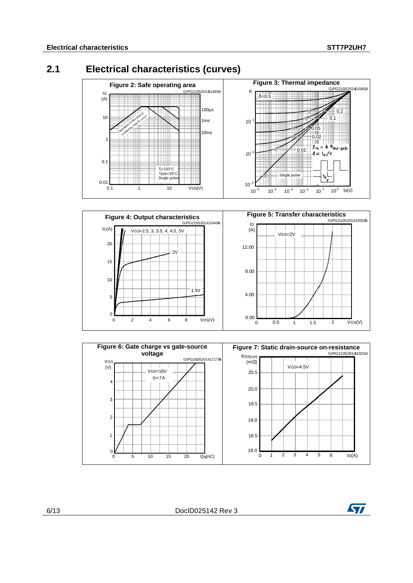### **2.1 Electrical characteristics (curves)**

<span id="page-5-0"></span>





6/13 DocID025142 Rev 3

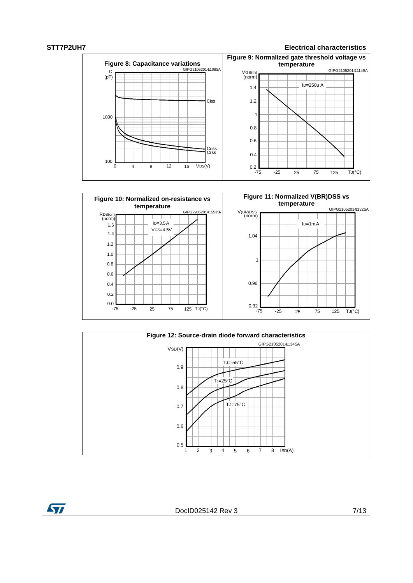ST







DocID025142 Rev 3 7/13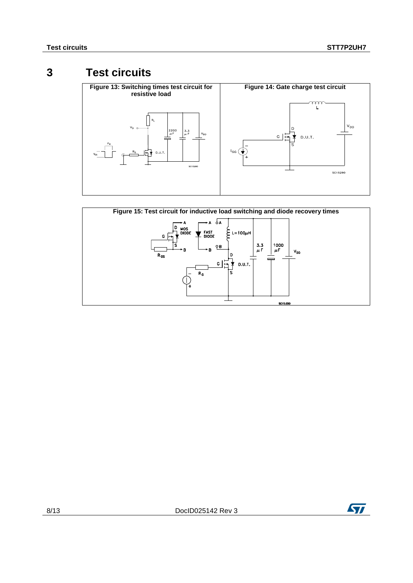### **3 Test circuits**

<span id="page-7-0"></span>



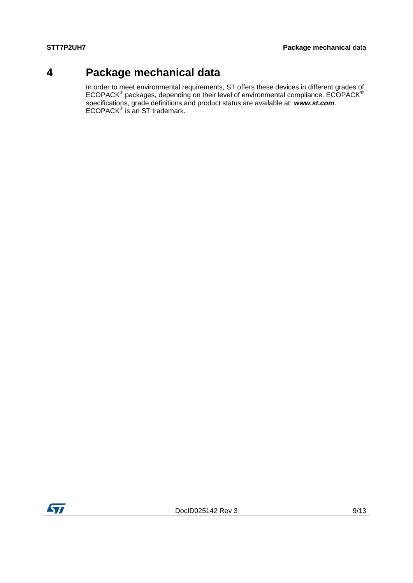### **4 Package mechanical data**

<span id="page-8-0"></span>In order to meet environmental requirements, ST offers these devices in different grades of ECOPACK<sup>®</sup> packages, depending on their level of environmental compliance. ECOPACK<sup>®</sup> specifications, grade definitions and product status are available at: *www.st.com*. ECOPACK® is an ST trademark.

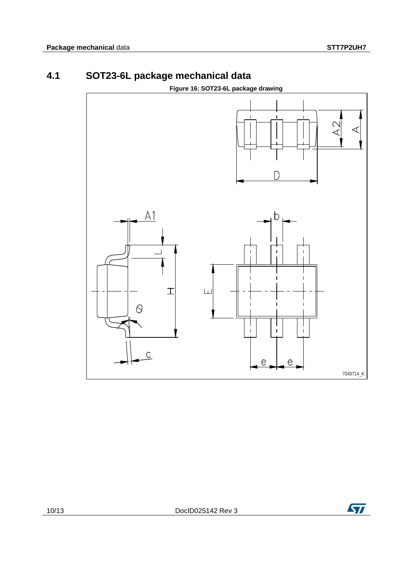### **4.1 SOT23-6L package mechanical data**

<span id="page-9-0"></span>

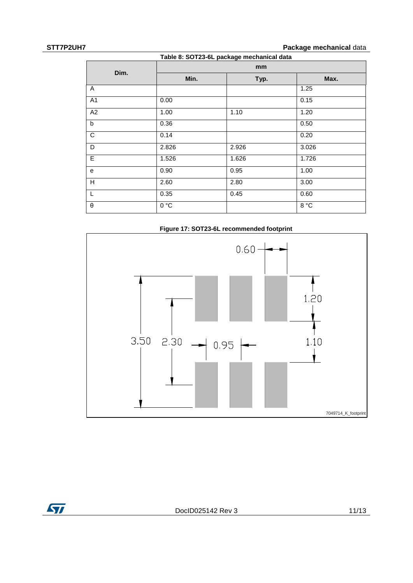**STT7P2UH7 Package mechanical** data

| Dim.           | mm    |       |       |  |  |
|----------------|-------|-------|-------|--|--|
|                | Min.  | Typ.  | Max.  |  |  |
| A              |       |       | 1.25  |  |  |
| A <sub>1</sub> | 0.00  |       | 0.15  |  |  |
| A2             | 1.00  | 1.10  | 1.20  |  |  |
| $\mathsf{b}$   | 0.36  |       | 0.50  |  |  |
| $\overline{C}$ | 0.14  |       | 0.20  |  |  |
| D              | 2.826 | 2.926 | 3.026 |  |  |
| E              | 1.526 | 1.626 | 1.726 |  |  |
| e              | 0.90  | 0.95  | 1.00  |  |  |
| H              | 2.60  | 2.80  | 3.00  |  |  |
| L              | 0.35  | 0.45  | 0.60  |  |  |
| $\theta$       | 0 °C  |       | 8 °C  |  |  |



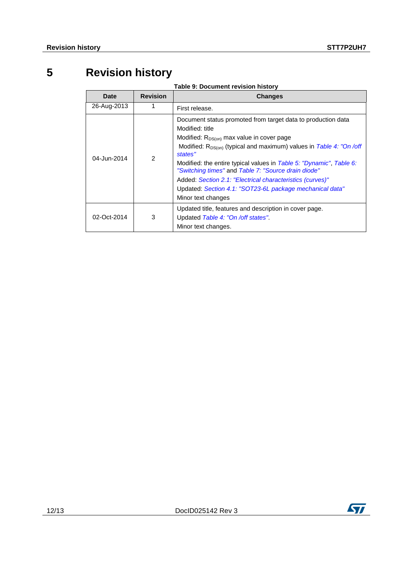## **5 Revision history**

**Table 9: Document revision history**

<span id="page-11-0"></span>

| Date        | <b>Revision</b> | <b>Changes</b>                                                                                                                                                                                                                                                                                                                                                                                                                                                                                                      |
|-------------|-----------------|---------------------------------------------------------------------------------------------------------------------------------------------------------------------------------------------------------------------------------------------------------------------------------------------------------------------------------------------------------------------------------------------------------------------------------------------------------------------------------------------------------------------|
| 26-Aug-2013 | 1               | First release.                                                                                                                                                                                                                                                                                                                                                                                                                                                                                                      |
| 04-Jun-2014 | $\mathfrak{p}$  | Document status promoted from target data to production data<br>Modified: title<br>Modified: R <sub>DS(on)</sub> max value in cover page<br>Modified: R <sub>DS(on)</sub> (typical and maximum) values in Table 4: "On /off<br>states"<br>Modified: the entire typical values in Table 5: "Dynamic", Table 6:<br>"Switching times" and Table 7: "Source drain diode"<br>Added: Section 2.1: "Electrical characteristics (curves)"<br>Updated: Section 4.1: "SOT23-6L package mechanical data"<br>Minor text changes |
| 02-Oct-2014 | 3               | Updated title, features and description in cover page.<br>Updated Table 4: "On /off states".<br>Minor text changes.                                                                                                                                                                                                                                                                                                                                                                                                 |